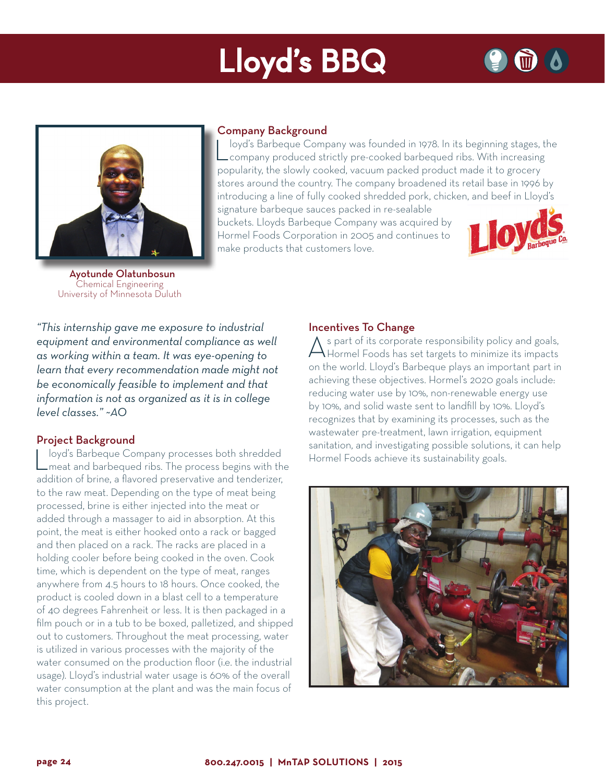# Lloyd's BBQ



 Ayotunde Olatunbosun Chemical Engineering University of Minnesota Duluth

### Company Background

Loyd's Barbeque Company was founded in 1978. In its beginning stages, the company produced strictly pre-cooked barbequed ribs. With increasing popularity, the slowly cooked, vacuum packed product made it to grocery stores around the country. The company broadened its retail base in 1996 by introducing a line of fully cooked shredded pork, chicken, and beef in Lloyd's

signature barbeque sauces packed in re-sealable buckets. Lloyds Barbeque Company was acquired by Hormel Foods Corporation in 2005 and continues to make products that customers love.



*"This internship gave me exposure to industrial equipment and environmental compliance as well as working within a team. It was eye-opening to learn that every recommendation made might not be economically feasible to implement and that information is not as organized as it is in college level classes." ~AO*

### Project Background

Loyd's Barbeque Company processes both shredded<br>
meat and barbequed ribs. The process begins with the addition of brine, a flavored preservative and tenderizer, to the raw meat. Depending on the type of meat being processed, brine is either injected into the meat or added through a massager to aid in absorption. At this point, the meat is either hooked onto a rack or bagged and then placed on a rack. The racks are placed in a holding cooler before being cooked in the oven. Cook time, which is dependent on the type of meat, ranges anywhere from 4.5 hours to 18 hours. Once cooked, the product is cooled down in a blast cell to a temperature of 40 degrees Fahrenheit or less. It is then packaged in a film pouch or in a tub to be boxed, palletized, and shipped out to customers. Throughout the meat processing, water is utilized in various processes with the majority of the water consumed on the production floor (i.e. the industrial usage). Lloyd's industrial water usage is 60% of the overall water consumption at the plant and was the main focus of this project.

## Incentives To Change

As part of its corporate responsibility policy and goals, Hormel Foods has set targets to minimize its impacts on the world. Lloyd's Barbeque plays an important part in achieving these objectives. Hormel's 2020 goals include: reducing water use by 10%, non-renewable energy use by 10%, and solid waste sent to landfill by 10%. Lloyd's recognizes that by examining its processes, such as the wastewater pre-treatment, lawn irrigation, equipment sanitation, and investigating possible solutions, it can help Hormel Foods achieve its sustainability goals.